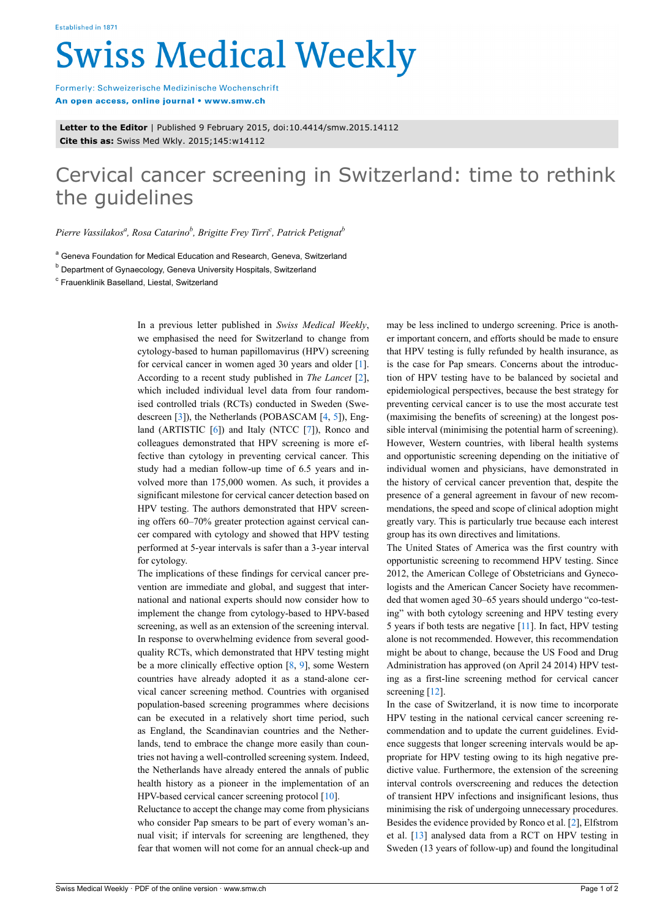## **Swiss Medical Weekly**

Formerly: Schweizerische Medizinische Wochenschrift An open access, online journal • www.smw.ch

**Letter to the Editor** | Published 9 February 2015, doi:10.4414/smw.2015.14112 **Cite this as:** Swiss Med Wkly. 2015;145:w14112

## Cervical cancer screening in Switzerland: time to rethink the guidelines

*Pierre Vassilakos<sup>a</sup> , Rosa Catarino<sup>b</sup> , Brigitte Frey Tirri<sup>c</sup> , Patrick Petignat<sup>b</sup>*

<sup>a</sup> Geneva Foundation for Medical Education and Research, Geneva, Switzerland

<sup>b</sup> Department of Gynaecology, Geneva University Hospitals, Switzerland

<sup>c</sup> Frauenklinik Baselland, Liestal, Switzerland

In a previous letter published in *Swiss Medical Weekly*, we emphasised the need for Switzerland to change from cytology-based to human papillomavirus (HPV) screening for cervical cancer in women aged 30 years and older [[1](#page-1-0)]. According to a recent study published in *The Lancet* [[2](#page-1-1)], which included individual level data from four randomised controlled trials (RCTs) conducted in Sweden (Swedescreen [\[3\]](#page-1-2)), the Netherlands (POBASCAM [\[4,](#page-1-3) [5](#page-1-4)]), Eng-land (ARTISTIC [\[6\]](#page-1-5)) and Italy (NTCC [\[7\]](#page-1-6)), Ronco and colleagues demonstrated that HPV screening is more effective than cytology in preventing cervical cancer. This study had a median follow-up time of 6.5 years and involved more than 175,000 women. As such, it provides a significant milestone for cervical cancer detection based on HPV testing. The authors demonstrated that HPV screening offers 60–70% greater protection against cervical cancer compared with cytology and showed that HPV testing performed at 5-year intervals is safer than a 3-year interval for cytology.

The implications of these findings for cervical cancer prevention are immediate and global, and suggest that international and national experts should now consider how to implement the change from cytology-based to HPV-based screening, as well as an extension of the screening interval. In response to overwhelming evidence from several goodquality RCTs, which demonstrated that HPV testing might be a more clinically effective option [\[8,](#page-1-7) [9](#page-1-8)], some Western countries have already adopted it as a stand-alone cervical cancer screening method. Countries with organised population-based screening programmes where decisions can be executed in a relatively short time period, such as England, the Scandinavian countries and the Netherlands, tend to embrace the change more easily than countries not having a well-controlled screening system. Indeed, the Netherlands have already entered the annals of public health history as a pioneer in the implementation of an HPV-based cervical cancer screening protocol [\[10](#page-1-9)].

Reluctance to accept the change may come from physicians who consider Pap smears to be part of every woman's annual visit; if intervals for screening are lengthened, they fear that women will not come for an annual check-up and may be less inclined to undergo screening. Price is another important concern, and efforts should be made to ensure that HPV testing is fully refunded by health insurance, as is the case for Pap smears. Concerns about the introduction of HPV testing have to be balanced by societal and epidemiological perspectives, because the best strategy for preventing cervical cancer is to use the most accurate test (maximising the benefits of screening) at the longest possible interval (minimising the potential harm of screening). However, Western countries, with liberal health systems and opportunistic screening depending on the initiative of individual women and physicians, have demonstrated in the history of cervical cancer prevention that, despite the presence of a general agreement in favour of new recommendations, the speed and scope of clinical adoption might greatly vary. This is particularly true because each interest group has its own directives and limitations.

The United States of America was the first country with opportunistic screening to recommend HPV testing. Since 2012, the American College of Obstetricians and Gynecologists and the American Cancer Society have recommended that women aged 30–65 years should undergo "co-testing" with both cytology screening and HPV testing every 5 years if both tests are negative [[11](#page-1-10)]. In fact, HPV testing alone is not recommended. However, this recommendation might be about to change, because the US Food and Drug Administration has approved (on April 24 2014) HPV testing as a first-line screening method for cervical cancer screening [\[12](#page-1-11)].

In the case of Switzerland, it is now time to incorporate HPV testing in the national cervical cancer screening recommendation and to update the current guidelines. Evidence suggests that longer screening intervals would be appropriate for HPV testing owing to its high negative predictive value. Furthermore, the extension of the screening interval controls overscreening and reduces the detection of transient HPV infections and insignificant lesions, thus minimising the risk of undergoing unnecessary procedures. Besides the evidence provided by Ronco et al. [[2](#page-1-1)], Elfstrom et al. [[13\]](#page-1-12) analysed data from a RCT on HPV testing in Sweden (13 years of follow-up) and found the longitudinal